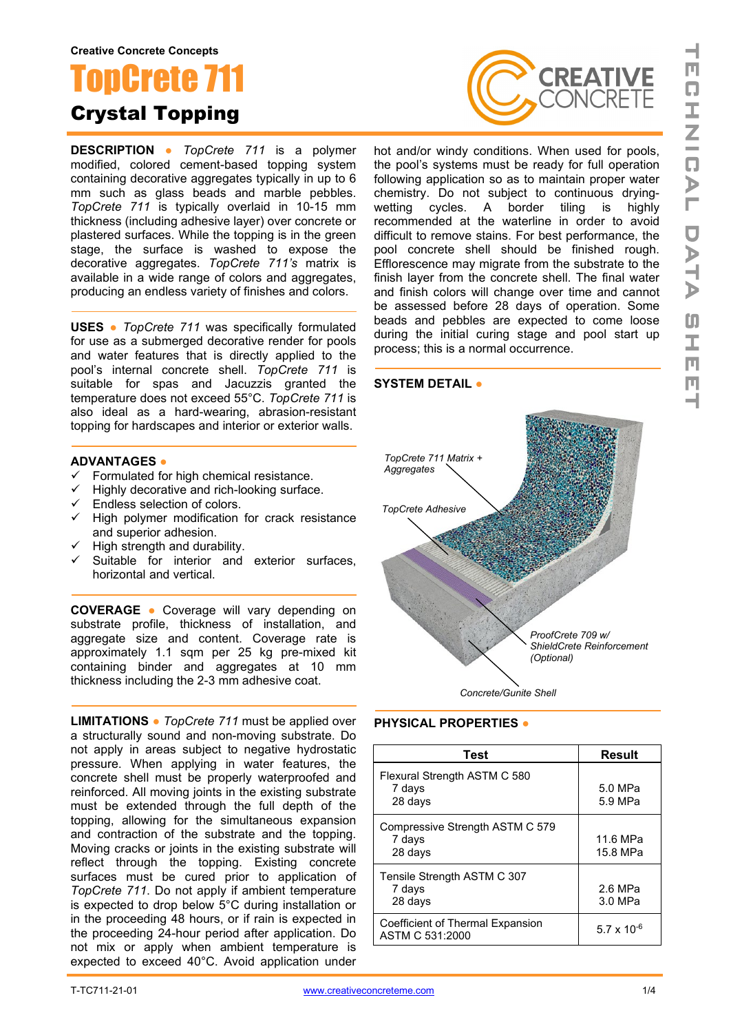# onCrete Crystal Topping

**DESCRIPTION ●** *TopCrete 711* is a polymer modified, colored cement-based topping system containing decorative aggregates typically in up to 6 mm such as glass beads and marble pebbles. *TopCrete 711* is typically overlaid in 10-15 mm thickness (including adhesive layer) over concrete or plastered surfaces. While the topping is in the green stage, the surface is washed to expose the decorative aggregates. *TopCrete 711's* matrix is available in a wide range of colors and aggregates. producing an endless variety of finishes and colors.

**USES ●** *TopCrete 711* was specifically formulated for use as a submerged decorative render for pools and water features that is directly applied to the pool's internal concrete shell. *TopCrete 711* is suitable for spas and Jacuzzis granted the temperature does not exceed 55°C. *TopCrete 711* is also ideal as a hard-wearing, abrasion-resistant topping for hardscapes and interior or exterior walls.

### **ADVANTAGES ●**

- $\checkmark$  Formulated for high chemical resistance.
- $\checkmark$  Highly decorative and rich-looking surface.
- $\checkmark$  Endless selection of colors.
- $\checkmark$  High polymer modification for crack resistance and superior adhesion.
- $\checkmark$  High strength and durability.
- Suitable for interior and exterior surfaces, horizontal and vertical.

**COVERAGE ●** Coverage will vary depending on substrate profile, thickness of installation, and aggregate size and content. Coverage rate is approximately 1.1 sqm per 25 kg pre-mixed kit containing binder and aggregates at 10 mm thickness including the 2-3 mm adhesive coat.

**LIMITATIONS ●** *TopCrete 711* must be applied over a structurally sound and non-moving substrate. Do not apply in areas subject to negative hydrostatic pressure. When applying in water features, the concrete shell must be properly waterproofed and reinforced. All moving joints in the existing substrate must be extended through the full depth of the topping, allowing for the simultaneous expansion and contraction of the substrate and the topping. Moving cracks or joints in the existing substrate will reflect through the topping. Existing concrete surfaces must be cured prior to application of *TopCrete 711*. Do not apply if ambient temperature is expected to drop below 5°C during installation or in the proceeding 48 hours, or if rain is expected in the proceeding 24-hour period after application. Do not mix or apply when ambient temperature is expected to exceed 40°C. Avoid application under



hot and/or windy conditions. When used for pools, the pool's systems must be ready for full operation following application so as to maintain proper water chemistry. Do not subject to continuous dryingwetting cycles. A border tiling recommended at the waterline in order to avoid difficult to remove stains. For best performance, the pool concrete shell should be finished rough. Efflorescence may migrate from the substrate to the finish layer from the concrete shell. The final water and finish colors will change over time and cannot be assessed before 28 days of operation. Some beads and pebbles are expected to come loose during the initial curing stage and pool start up process; this is a normal occurrence.

## **SYSTEM DETAIL ●**



**PHYSICAL PROPERTIES ●**

| Test                                                 | <b>Result</b>        |
|------------------------------------------------------|----------------------|
| Flexural Strength ASTM C 580<br>7 days<br>28 days    | 5.0 MPa<br>5.9 MPa   |
| Compressive Strength ASTM C 579<br>7 days<br>28 days | 11.6 MPa<br>15.8 MPa |
| Tensile Strength ASTM C 307<br>7 days<br>28 days     | 2.6 MPa<br>3.0 MPa   |
| Coefficient of Thermal Expansion<br>ASTM C 531:2000  | 5.7 x 10 $-6$        |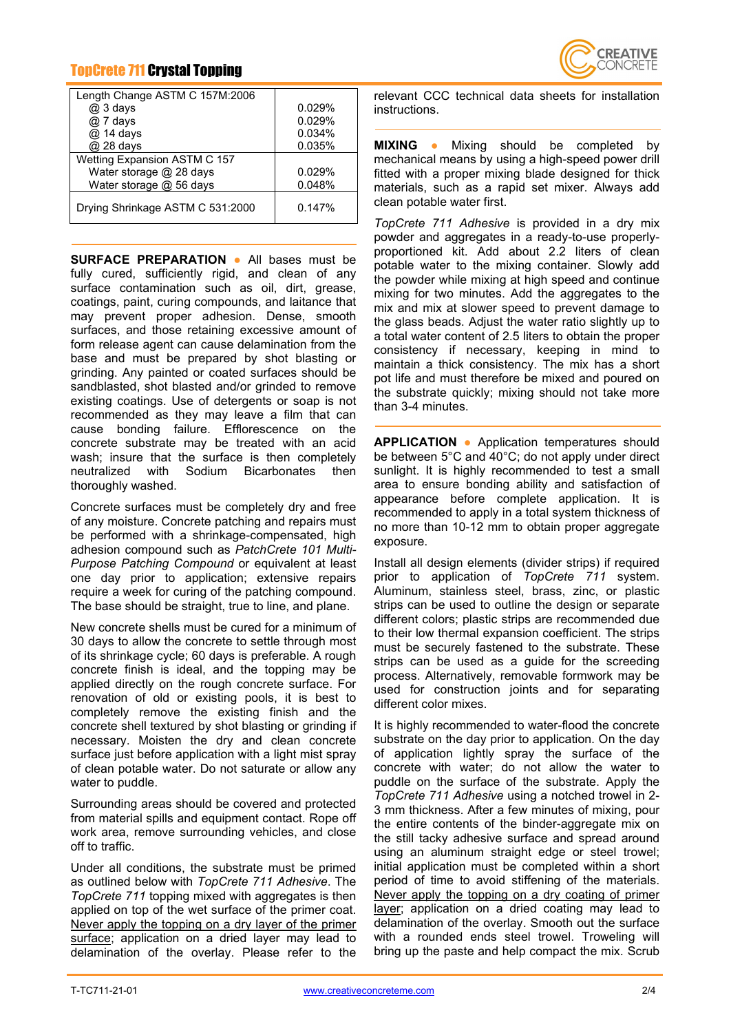# TopCrete 711 Crystal Topping

| Length Change ASTM C 157M:2006   |        |
|----------------------------------|--------|
| $@3$ days                        | 0.029% |
| @ 7 days                         | 0.029% |
| @ 14 days                        | 0.034% |
| @ 28 days                        | 0.035% |
| Wetting Expansion ASTM C 157     |        |
| Water storage @ 28 days          | 0.029% |
| Water storage @ 56 days          | 0.048% |
| Drying Shrinkage ASTM C 531:2000 | 0.147% |

**SURFACE PREPARATION ●** All bases must be fully cured, sufficiently rigid, and clean of any surface contamination such as oil, dirt, grease, coatings, paint, curing compounds, and laitance that may prevent proper adhesion. Dense, smooth surfaces, and those retaining excessive amount of form release agent can cause delamination from the base and must be prepared by shot blasting or grinding. Any painted or coated surfaces should be sandblasted, shot blasted and/or grinded to remove existing coatings. Use of detergents or soap is not recommended as they may leave a film that can cause bonding failure. Efflorescence on the concrete substrate may be treated with an acid wash; insure that the surface is then completely neutralized with Sodium Bicarbonates then thoroughly washed.

Concrete surfaces must be completely dry and free of any moisture. Concrete patching and repairs must be performed with a shrinkage-compensated, high adhesion compound such as *PatchCrete 101 Multi-Purpose Patching Compound* or equivalent at least one day prior to application; extensive repairs require a week for curing of the patching compound. The base should be straight, true to line, and plane.

New concrete shells must be cured for a minimum of 30 days to allow the concrete to settle through most of its shrinkage cycle; 60 days is preferable. A rough concrete finish is ideal, and the topping may be applied directly on the rough concrete surface. For renovation of old or existing pools, it is best to completely remove the existing finish and the concrete shell textured by shot blasting or grinding if necessary. Moisten the dry and clean concrete surface just before application with a light mist spray of clean potable water. Do not saturate or allow any water to puddle.

Surrounding areas should be covered and protected from material spills and equipment contact. Rope off work area, remove surrounding vehicles, and close off to traffic.

Under all conditions, the substrate must be primed as outlined below with *TopCrete 711 Adhesive*. The *TopCrete 711* topping mixed with aggregates is then applied on top of the wet surface of the primer coat. Never apply the topping on a dry layer of the primer surface; application on a dried layer may lead to delamination of the overlay. Please refer to the



relevant CCC technical data sheets for installation instructions.

**MIXING ●** Mixing should be completed by mechanical means by using a high-speed power drill fitted with a proper mixing blade designed for thick materials, such as a rapid set mixer. Always add clean potable water first.

*TopCrete 711 Adhesive* is provided in a dry mix powder and aggregates in a ready-to-use properlyproportioned kit. Add about 2.2 liters of clean potable water to the mixing container. Slowly add the powder while mixing at high speed and continue mixing for two minutes. Add the aggregates to the mix and mix at slower speed to prevent damage to the glass beads. Adjust the water ratio slightly up to a total water content of 2.5 liters to obtain the proper consistency if necessary, keeping in mind to maintain a thick consistency. The mix has a short pot life and must therefore be mixed and poured on the substrate quickly; mixing should not take more than 3-4 minutes.

**APPLICATION ●** Application temperatures should be between 5°C and 40°C; do not apply under direct sunlight. It is highly recommended to test a small area to ensure bonding ability and satisfaction of appearance before complete application. It is recommended to apply in a total system thickness of no more than 10-12 mm to obtain proper aggregate exposure.

Install all design elements (divider strips) if required prior to application of *TopCrete 711* system. Aluminum, stainless steel, brass, zinc, or plastic strips can be used to outline the design or separate different colors; plastic strips are recommended due to their low thermal expansion coefficient. The strips must be securely fastened to the substrate. These strips can be used as a guide for the screeding process. Alternatively, removable formwork may be used for construction joints and for separating different color mixes.

It is highly recommended to water-flood the concrete substrate on the day prior to application. On the day of application lightly spray the surface of the concrete with water; do not allow the water to puddle on the surface of the substrate. Apply the *TopCrete 711 Adhesive* using a notched trowel in 2- 3 mm thickness. After a few minutes of mixing, pour the entire contents of the binder-aggregate mix on the still tacky adhesive surface and spread around using an aluminum straight edge or steel trowel; initial application must be completed within a short period of time to avoid stiffening of the materials. Never apply the topping on a dry coating of primer layer; application on a dried coating may lead to delamination of the overlay. Smooth out the surface with a rounded ends steel trowel. Troweling will bring up the paste and help compact the mix. Scrub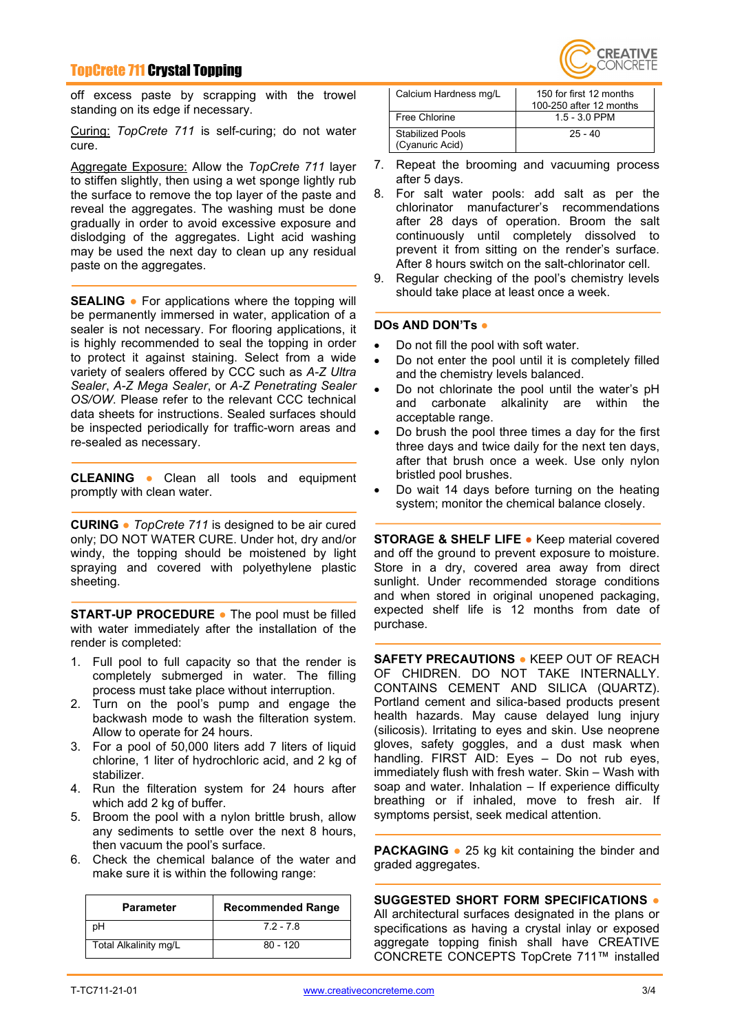## TopCrete 711 Crystal Topping

off excess paste by scrapping with the trowel standing on its edge if necessary.

Curing: *TopCrete 711* is self-curing; do not water cure.

Aggregate Exposure: Allow the *TopCrete 711* layer to stiffen slightly, then using a wet sponge lightly rub the surface to remove the top layer of the paste and reveal the aggregates. The washing must be done gradually in order to avoid excessive exposure and dislodging of the aggregates. Light acid washing may be used the next day to clean up any residual paste on the aggregates.

**SEALING ●** For applications where the topping will be permanently immersed in water, application of a sealer is not necessary. For flooring applications, it is highly recommended to seal the topping in order to protect it against staining. Select from a wide variety of sealers offered by CCC such as *A-Z Ultra Sealer*, *A-Z Mega Sealer*, or *A-Z Penetrating Sealer OS/OW*. Please refer to the relevant CCC technical data sheets for instructions. Sealed surfaces should be inspected periodically for traffic-worn areas and re-sealed as necessary.

**CLEANING ●** Clean all tools and equipment promptly with clean water.

**CURING ●** *TopCrete 711* is designed to be air cured only; DO NOT WATER CURE. Under hot, dry and/or windy, the topping should be moistened by light spraying and covered with polyethylene plastic sheeting.

**START-UP PROCEDURE ●** The pool must be filled with water immediately after the installation of the render is completed:

- 1. Full pool to full capacity so that the render is completely submerged in water. The filling process must take place without interruption.
- 2. Turn on the pool's pump and engage the backwash mode to wash the filteration system. Allow to operate for 24 hours.
- 3. For a pool of 50,000 liters add 7 liters of liquid chlorine, 1 liter of hydrochloric acid, and 2 kg of stabilizer.
- 4. Run the filteration system for 24 hours after which add 2 kg of buffer.
- 5. Broom the pool with a nylon brittle brush, allow any sediments to settle over the next 8 hours, then vacuum the pool's surface.
- 6. Check the chemical balance of the water and make sure it is within the following range:

| <b>Parameter</b>      | <b>Recommended Range</b> |
|-----------------------|--------------------------|
| pН                    | $72 - 78$                |
| Total Alkalinity mg/L | $80 - 120$               |



| Calcium Hardness mg/L               | 150 for first 12 months<br>100-250 after 12 months |
|-------------------------------------|----------------------------------------------------|
| Free Chlorine                       | $1.5 - 3.0$ PPM                                    |
| Stabilized Pools<br>(Cyanuric Acid) | $25 - 40$                                          |

- 7. Repeat the brooming and vacuuming process after 5 days.
- 8. For salt water pools: add salt as per the chlorinator manufacturer's recommendations after 28 days of operation. Broom the salt continuously until completely dissolved to prevent it from sitting on the render's surface. After 8 hours switch on the salt-chlorinator cell.
- 9. Regular checking of the pool's chemistry levels should take place at least once a week.

#### **DOs AND DON'Ts ●**

- Do not fill the pool with soft water.
- Do not enter the pool until it is completely filled and the chemistry levels balanced.
- Do not chlorinate the pool until the water's pH<br>and carbonate alkalinity are within the alkalinity are within the acceptable range.
- Do brush the pool three times a day for the first three days and twice daily for the next ten days, after that brush once a week. Use only nylon bristled pool brushes.
- Do wait 14 days before turning on the heating system; monitor the chemical balance closely.

**STORAGE & SHELF LIFE ●** Keep material covered and off the ground to prevent exposure to moisture. Store in a dry, covered area away from direct sunlight. Under recommended storage conditions and when stored in original unopened packaging, expected shelf life is 12 months from date of purchase.

**SAFETY PRECAUTIONS ●** KEEP OUT OF REACH OF CHIDREN. DO NOT TAKE INTERNALLY. CONTAINS CEMENT AND SILICA (QUARTZ). Portland cement and silica-based products present health hazards. May cause delayed lung injury (silicosis). Irritating to eyes and skin. Use neoprene gloves, safety goggles, and a dust mask when handling. FIRST AID: Eyes – Do not rub eyes, immediately flush with fresh water. Skin – Wash with soap and water. Inhalation – If experience difficulty breathing or if inhaled, move to fresh air. If symptoms persist, seek medical attention.

**PACKAGING ●** 25 kg kit containing the binder and graded aggregates.

**SUGGESTED SHORT FORM SPECIFICATIONS ●** All architectural surfaces designated in the plans or specifications as having a crystal inlay or exposed aggregate topping finish shall have CREATIVE CONCRETE CONCEPTS TopCrete 711™ installed